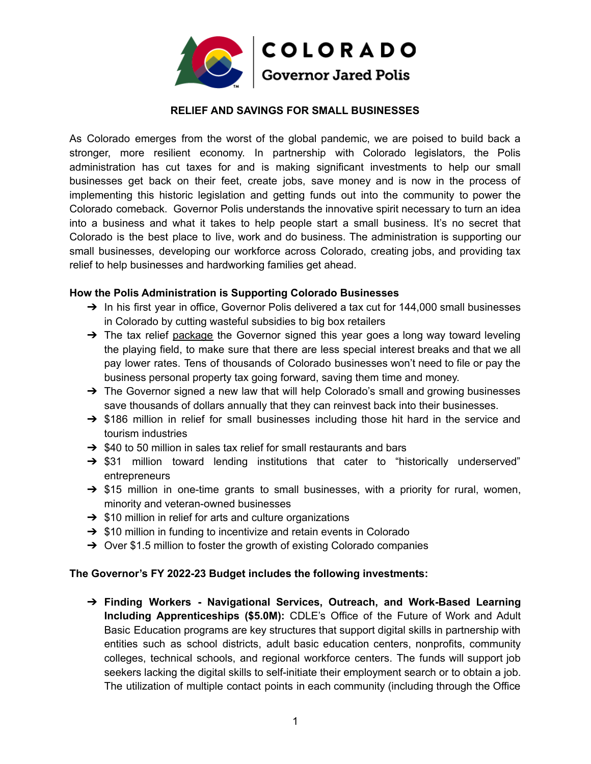

## **RELIEF AND SAVINGS FOR SMALL BUSINESSES**

As Colorado emerges from the worst of the global pandemic, we are poised to build back a stronger, more resilient economy. In partnership with Colorado legislators, the Polis administration has cut taxes for and is making significant investments to help our small businesses get back on their feet, create jobs, save money and is now in the process of implementing this historic legislation and getting funds out into the community to power the Colorado comeback. Governor Polis understands the innovative spirit necessary to turn an idea into a business and what it takes to help people start a small business. It's no secret that Colorado is the best place to live, work and do business. The administration is supporting our small businesses, developing our workforce across Colorado, creating jobs, and providing tax relief to help businesses and hardworking families get ahead.

## **How the Polis Administration is Supporting Colorado Businesses**

- → In his first year in office, Governor Polis delivered a tax cut for 144,000 small businesses in Colorado by cutting wasteful subsidies to big box retailers
- $\rightarrow$  The tax relief [package](https://urldefense.proofpoint.com/v2/url?u=https-3A__www.facebook.com_jaredpolis_photos_a.130848302529_10159387397612530_-3Ftype-3D3&d=DwMFaQ&c=sdnEM9SRGFuMt5z5w3AhsPNahmNicq64TgF1JwNR0cs&r=N2TzFyVuTQrOan4C_vkl4sXjQ6AqbxboMkNlrN4TS3Q&m=efw7nUGeaCzKVUFn7uI2JXx076Jo6osNZDfySEZl63g&s=EgXfhuyuPz6khbWM_N10K_AkikFLFpCgw6CgPiWmSC8&e=) the Governor signed this year goes a long way toward leveling the playing field, to make sure that there are less special interest breaks and that we all pay lower rates. Tens of thousands of Colorado businesses won't need to file or pay the business personal property tax going forward, saving them time and money.
- → The Governor signed a new law that will help Colorado's small and growing businesses save thousands of dollars annually that they can reinvest back into their businesses.
- ➔ \$186 million in relief for small businesses including those hit hard in the service and tourism industries
- $\rightarrow$  \$40 to 50 million in sales tax relief for small restaurants and bars
- → \$31 million toward lending institutions that cater to "historically underserved" entrepreneurs
- $\rightarrow$  \$15 million in one-time grants to small businesses, with a priority for rural, women, minority and veteran-owned businesses
- $\rightarrow$  \$10 million in relief for arts and culture organizations
- $\rightarrow$  \$10 million in funding to incentivize and retain events in Colorado
- ➔ Over \$1.5 million to foster the growth of existing Colorado companies

## **The Governor's FY 2022-23 Budget includes the following investments:**

➔ **Finding Workers - Navigational Services, Outreach, and Work-Based Learning Including Apprenticeships (\$5.0M):** CDLE's Office of the Future of Work and Adult Basic Education programs are key structures that support digital skills in partnership with entities such as school districts, adult basic education centers, nonprofits, community colleges, technical schools, and regional workforce centers. The funds will support job seekers lacking the digital skills to self-initiate their employment search or to obtain a job. The utilization of multiple contact points in each community (including through the Office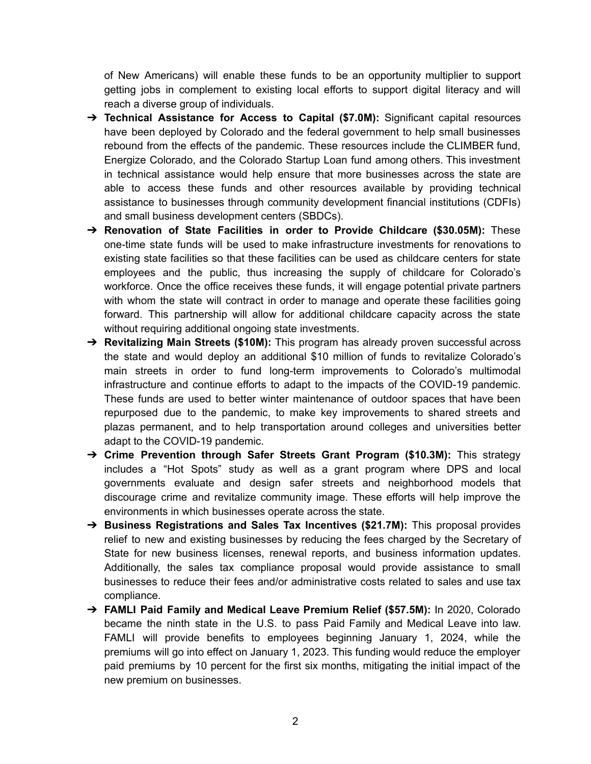of New Americans) will enable these funds to be an opportunity multiplier to support getting jobs in complement to existing local efforts to support digital literacy and will reach a diverse group of individuals.

- ➔ **Technical Assistance for Access to Capital (\$7.0M):** Significant capital resources have been deployed by Colorado and the federal government to help small businesses rebound from the effects of the pandemic. These resources include the CLIMBER fund, Energize Colorado, and the Colorado Startup Loan fund among others. This investment in technical assistance would help ensure that more businesses across the state are able to access these funds and other resources available by providing technical assistance to businesses through community development financial institutions (CDFIs) and small business development centers (SBDCs).
- ➔ **Renovation of State Facilities in order to Provide Childcare (\$30.05M):** These one-time state funds will be used to make infrastructure investments for renovations to existing state facilities so that these facilities can be used as childcare centers for state employees and the public, thus increasing the supply of childcare for Colorado's workforce. Once the office receives these funds, it will engage potential private partners with whom the state will contract in order to manage and operate these facilities going forward. This partnership will allow for additional childcare capacity across the state without requiring additional ongoing state investments.
- ➔ **Revitalizing Main Streets (\$10M):** This program has already proven successful across the state and would deploy an additional \$10 million of funds to revitalize Colorado's main streets in order to fund long-term improvements to Colorado's multimodal infrastructure and continue efforts to adapt to the impacts of the COVID-19 pandemic. These funds are used to better winter maintenance of outdoor spaces that have been repurposed due to the pandemic, to make key improvements to shared streets and plazas permanent, and to help transportation around colleges and universities better adapt to the COVID-19 pandemic.
- ➔ **Crime Prevention through Safer Streets Grant Program (\$10.3M):** This strategy includes a "Hot Spots" study as well as a grant program where DPS and local governments evaluate and design safer streets and neighborhood models that discourage crime and revitalize community image. These efforts will help improve the environments in which businesses operate across the state.
- ➔ **Business Registrations and Sales Tax Incentives (\$21.7M):** This proposal provides relief to new and existing businesses by reducing the fees charged by the Secretary of State for new business licenses, renewal reports, and business information updates. Additionally, the sales tax compliance proposal would provide assistance to small businesses to reduce their fees and/or administrative costs related to sales and use tax compliance.
- ➔ **FAMLI Paid Family and Medical Leave Premium Relief (\$57.5M):** In 2020, Colorado became the ninth state in the U.S. to pass Paid Family and Medical Leave into law. FAMLI will provide benefits to employees beginning January 1, 2024, while the premiums will go into effect on January 1, 2023. This funding would reduce the employer paid premiums by 10 percent for the first six months, mitigating the initial impact of the new premium on businesses.